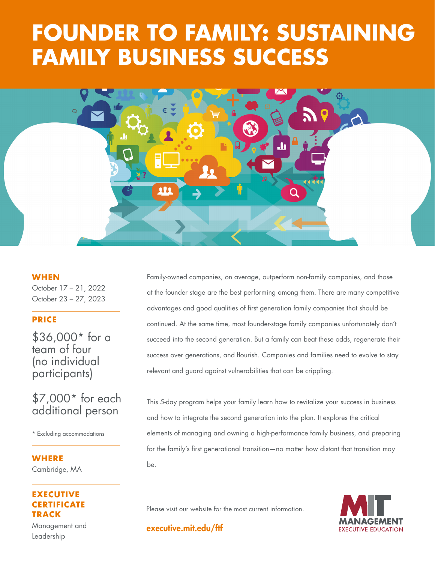# FAMILY BUSINESS SUCCESS **FOUNDER TO FAMILY: SUSTAINING**



#### **WHEN**

October 17 – 21, 2022 October 23 – 27, 2023

### **PRICE**

\$36,000\* for a team of four (no individual participants)

# \$7,000\* for each additional person

\* Excluding accommodations

### **WHERE**  Cambridge, MA

# **ECUTIVE CERTIFICATE TRACK**

Management and Leadership

Family-owned companies, on average, outperform non-family companies, and those at the founder stage are the best performing among them. There are many competitive advantages and good qualities of first generation family companies that should be continued. At the same time, most founder-stage family companies unfortunately don't succeed into the second generation. But a family can beat these odds, regenerate their success over generations, and flourish. Companies and families need to evolve to stay relevant and guard against vulnerabilities that can be crippling.

This 5-day program helps your family learn how to revitalize your success in business and how to integrate the second generation into the plan. It explores the critical elements of managing and owning a high-performance family business, and preparing for the family's first generational transition—no matter how distant that transition may be.

Please visit our website for the most current information.